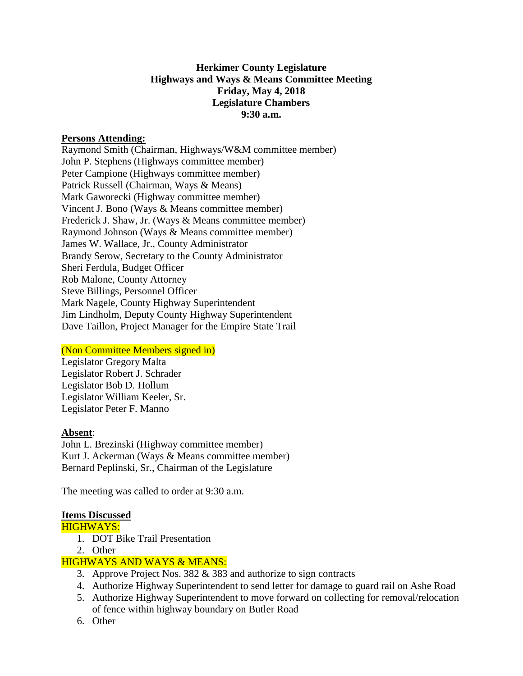# **Herkimer County Legislature Highways and Ways & Means Committee Meeting Friday, May 4, 2018 Legislature Chambers 9:30 a.m.**

#### **Persons Attending:**

Raymond Smith (Chairman, Highways/W&M committee member) John P. Stephens (Highways committee member) Peter Campione (Highways committee member) Patrick Russell (Chairman, Ways & Means) Mark Gaworecki (Highway committee member) Vincent J. Bono (Ways & Means committee member) Frederick J. Shaw, Jr. (Ways & Means committee member) Raymond Johnson (Ways & Means committee member) James W. Wallace, Jr., County Administrator Brandy Serow, Secretary to the County Administrator Sheri Ferdula, Budget Officer Rob Malone, County Attorney Steve Billings, Personnel Officer Mark Nagele, County Highway Superintendent Jim Lindholm, Deputy County Highway Superintendent Dave Taillon, Project Manager for the Empire State Trail

# (Non Committee Members signed in)

Legislator Gregory Malta Legislator Robert J. Schrader Legislator Bob D. Hollum Legislator William Keeler, Sr. Legislator Peter F. Manno

#### **Absent**:

John L. Brezinski (Highway committee member) Kurt J. Ackerman (Ways & Means committee member) Bernard Peplinski, Sr., Chairman of the Legislature

The meeting was called to order at 9:30 a.m.

# **Items Discussed**

HIGHWAYS:

- 1. DOT Bike Trail Presentation
- 2. Other

# HIGHWAYS AND WAYS & MEANS:

- 3. Approve Project Nos. 382 & 383 and authorize to sign contracts
- 4. Authorize Highway Superintendent to send letter for damage to guard rail on Ashe Road
- 5. Authorize Highway Superintendent to move forward on collecting for removal/relocation of fence within highway boundary on Butler Road
- 6. Other